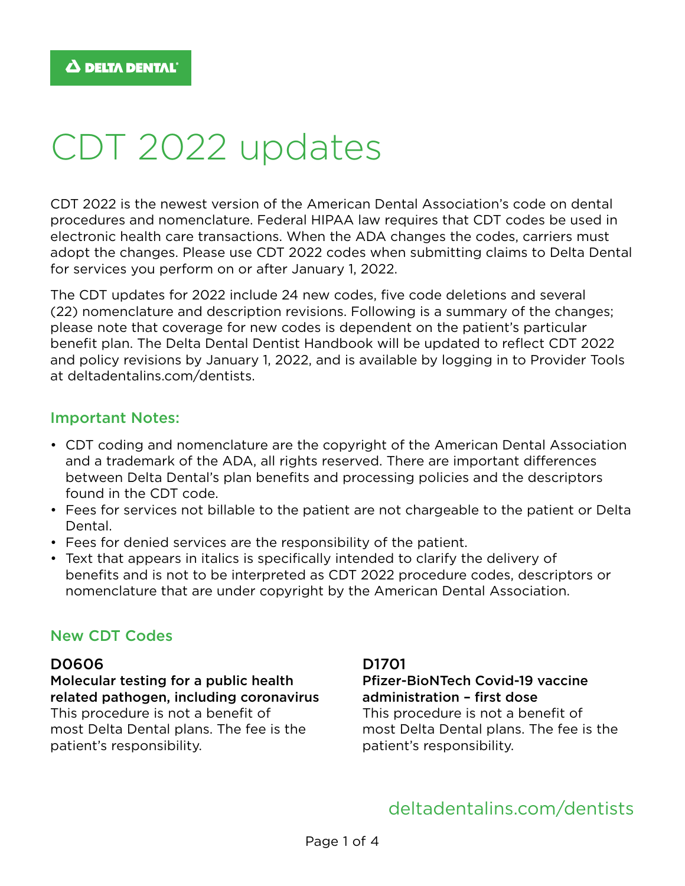# CDT 2022 updates

CDT 2022 is the newest version of the American Dental Association's code on dental procedures and nomenclature. Federal HIPAA law requires that CDT codes be used in electronic health care transactions. When the ADA changes the codes, carriers must adopt the changes. Please use CDT 2022 codes when submitting claims to Delta Dental for services you perform on or after January 1, 2022.

The CDT updates for 2022 include 24 new codes, five code deletions and several (22) nomenclature and description revisions. Following is a summary of the changes; please note that coverage for new codes is dependent on the patient's particular benefit plan. The Delta Dental Dentist Handbook will be updated to reflect CDT 2022 and policy revisions by January 1, 2022, and is available by logging in to Provider Tools at [deltadentalins.com/dentists](http://deltadentalins.com/dentists).

#### Important Notes:

- CDT coding and nomenclature are the copyright of the American Dental Association and a trademark of the ADA, all rights reserved. There are important differences between Delta Dental's plan benefits and processing policies and the descriptors found in the CDT code.
- Fees for services not billable to the patient are not chargeable to the patient or Delta Dental.
- Fees for denied services are the responsibility of the patient.
- Text that appears in italics is specifically intended to clarify the delivery of benefits and is not to be interpreted as CDT 2022 procedure codes, descriptors or nomenclature that are under copyright by the American Dental Association.

#### New CDT Codes

#### D0606

Molecular testing for a public health related pathogen, including coronavirus This procedure is not a benefit of most Delta Dental plans. The fee is the patient's responsibility.

D1701

#### Pfizer-BioNTech Covid-19 vaccine administration – first dose

This procedure is not a benefit of most Delta Dental plans. The fee is the patient's responsibility.

# [deltadentalins.com/dentists](http://deltadentalins.com/dentists)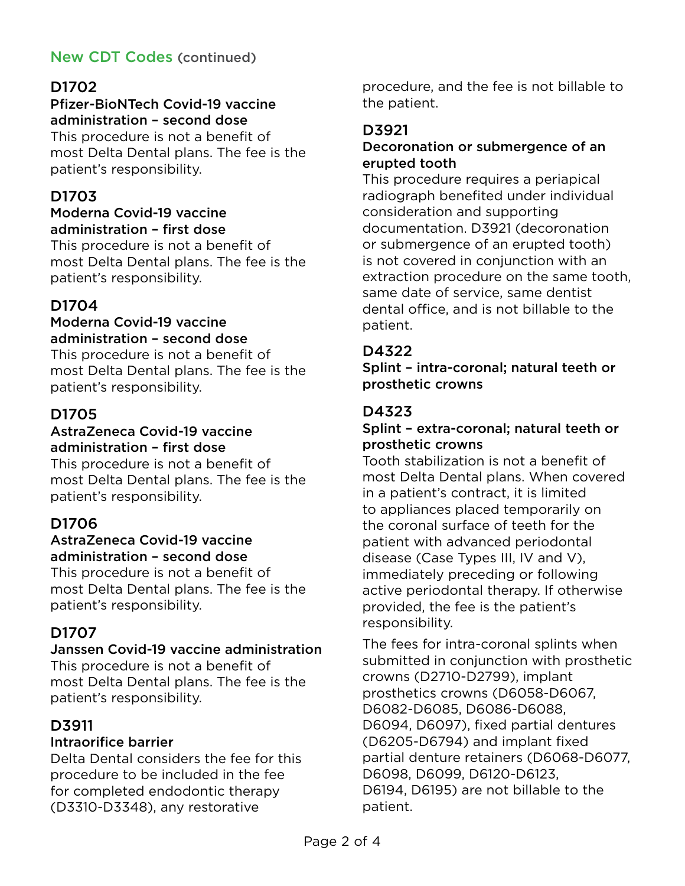# New CDT Codes (continued)

## D1702

#### Pfizer-BioNTech Covid-19 vaccine administration – second dose

This procedure is not a benefit of most Delta Dental plans. The fee is the patient's responsibility.

#### D1703

#### Moderna Covid-19 vaccine administration – first dose

This procedure is not a benefit of most Delta Dental plans. The fee is the patient's responsibility.

#### D1704

#### Moderna Covid-19 vaccine administration – second dose

This procedure is not a benefit of most Delta Dental plans. The fee is the patient's responsibility.

## D1705

#### AstraZeneca Covid-19 vaccine administration – first dose

This procedure is not a benefit of most Delta Dental plans. The fee is the patient's responsibility.

## D1706

#### AstraZeneca Covid-19 vaccine administration – second dose

This procedure is not a benefit of most Delta Dental plans. The fee is the patient's responsibility.

## D1707

#### Janssen Covid-19 vaccine administration

This procedure is not a benefit of most Delta Dental plans. The fee is the patient's responsibility.

## D3911

#### Intraorifice barrier

Delta Dental considers the fee for this procedure to be included in the fee for completed endodontic therapy (D3310-D3348), any restorative

procedure, and the fee is not billable to the patient.

## D3921

#### Decoronation or submergence of an erupted tooth

This procedure requires a periapical radiograph benefited under individual consideration and supporting documentation. D3921 (decoronation or submergence of an erupted tooth) is not covered in conjunction with an extraction procedure on the same tooth, same date of service, same dentist dental office, and is not billable to the patient.

#### D4322

Splint – intra-coronal; natural teeth or prosthetic crowns

## D4323

#### Splint – extra-coronal; natural teeth or prosthetic crowns

Tooth stabilization is not a benefit of most Delta Dental plans. When covered in a patient's contract, it is limited to appliances placed temporarily on the coronal surface of teeth for the patient with advanced periodontal disease (Case Types III, IV and V), immediately preceding or following active periodontal therapy. If otherwise provided, the fee is the patient's responsibility.

The fees for intra-coronal splints when submitted in conjunction with prosthetic crowns (D2710-D2799), implant prosthetics crowns (D6058-D6067, D6082-D6085, D6086-D6088, D6094, D6097), fixed partial dentures (D6205-D6794) and implant fixed partial denture retainers (D6068-D6077, D6098, D6099, D6120-D6123, D6194, D6195) are not billable to the patient.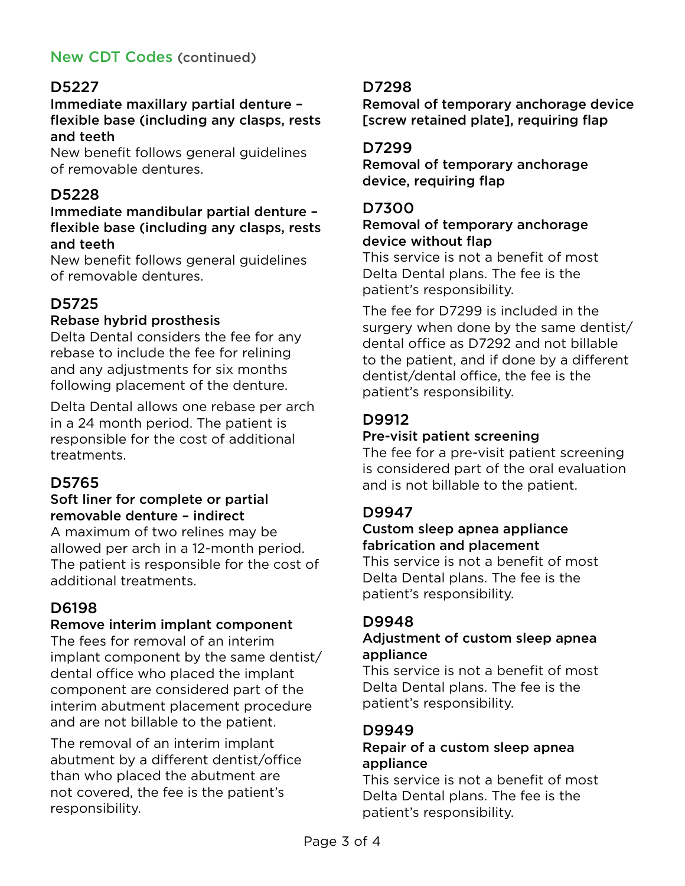# New CDT Codes (continued)

## D5227

#### Immediate maxillary partial denture – flexible base (including any clasps, rests and teeth

New benefit follows general guidelines of removable dentures.

## D5228

#### Immediate mandibular partial denture – flexible base (including any clasps, rests and teeth

New benefit follows general guidelines of removable dentures.

## D5725

#### Rebase hybrid prosthesis

Delta Dental considers the fee for any rebase to include the fee for relining and any adjustments for six months following placement of the denture.

Delta Dental allows one rebase per arch in a 24 month period. The patient is responsible for the cost of additional treatments.

# D5765

#### Soft liner for complete or partial removable denture – indirect

A maximum of two relines may be allowed per arch in a 12-month period. The patient is responsible for the cost of additional treatments.

# D6198

#### Remove interim implant component

The fees for removal of an interim implant component by the same dentist/ dental office who placed the implant component are considered part of the interim abutment placement procedure and are not billable to the patient.

The removal of an interim implant abutment by a different dentist/office than who placed the abutment are not covered, the fee is the patient's responsibility.

## D7298

Removal of temporary anchorage device [screw retained plate], requiring flap

## D7299

Removal of temporary anchorage device, requiring flap

## D7300

#### Removal of temporary anchorage device without flap

This service is not a benefit of most Delta Dental plans. The fee is the patient's responsibility.

The fee for D7299 is included in the surgery when done by the same dentist/ dental office as D7292 and not billable to the patient, and if done by a different dentist/dental office, the fee is the patient's responsibility.

# D9912

## Pre-visit patient screening

The fee for a pre-visit patient screening is considered part of the oral evaluation and is not billable to the patient.

# D9947

## Custom sleep apnea appliance fabrication and placement

This service is not a benefit of most Delta Dental plans. The fee is the patient's responsibility.

## D9948

#### Adjustment of custom sleep apnea appliance

This service is not a benefit of most Delta Dental plans. The fee is the patient's responsibility.

## D9949

#### Repair of a custom sleep apnea appliance

This service is not a benefit of most Delta Dental plans. The fee is the patient's responsibility.